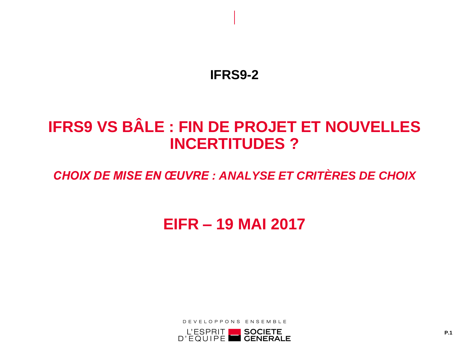## **IFRS9-2**

# **IFRS9 VS BÂLE : FIN DE PROJET ET NOUVELLES INCERTITUDES ?**

## *CHOIX DE MISE EN ŒUVRE : ANALYSE ET CRITÈRES DE CHOIX*

# **EIFR – 19 MAI 2017**

DEVELOPPONS ENSEMBLE

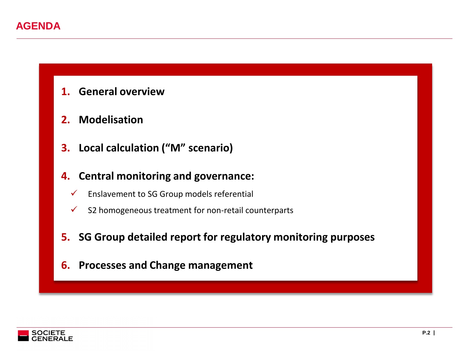### **AGENDA**

- **1. General overview**
- **2. Modelisation**
- **3. Local calculation ("M" scenario)**
- **4. Central monitoring and governance:**
	- $\checkmark$  Enslavement to SG Group models referential
	- $\checkmark$  S2 homogeneous treatment for non-retail counterparts
- **5. SG Group detailed report for regulatory monitoring purposes**
- **6. Processes and Change management**

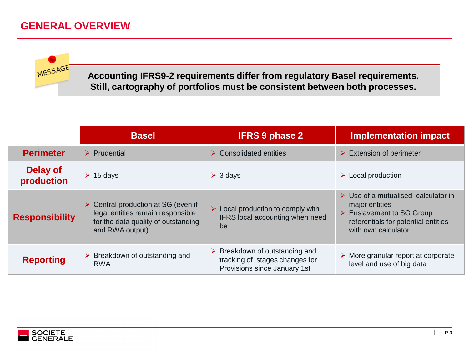### **GENERAL OVERVIEW**



**Accounting IFRS9-2 requirements differ from regulatory Basel requirements. Still, cartography of portfolios must be consistent between both processes.**

|                        | <b>Basel</b>                                                                                                                                      | <b>IFRS 9 phase 2</b>                                                                                           | <b>Implementation impact</b>                                                                                                                                    |
|------------------------|---------------------------------------------------------------------------------------------------------------------------------------------------|-----------------------------------------------------------------------------------------------------------------|-----------------------------------------------------------------------------------------------------------------------------------------------------------------|
| <b>Perimeter</b>       | $\triangleright$ Prudential                                                                                                                       | $\triangleright$ Consolidated entities                                                                          | $\triangleright$ Extension of perimeter                                                                                                                         |
| Delay of<br>production | $\geq 15$ days                                                                                                                                    | $\geqslant$ 3 days                                                                                              | $\triangleright$ Local production                                                                                                                               |
| <b>Responsibility</b>  | $\triangleright$ Central production at SG (even if<br>legal entities remain responsible<br>for the data quality of outstanding<br>and RWA output) | $\triangleright$ Local production to comply with<br>IFRS local accounting when need<br>be                       | $\triangleright$ Use of a mutualised calculator in<br>major entities<br>▶ Enslavement to SG Group<br>referentials for potential entities<br>with own calculator |
| <b>Reporting</b>       | $\triangleright$ Breakdown of outstanding and<br>RWA                                                                                              | $\triangleright$ Breakdown of outstanding and<br>tracking of stages changes for<br>Provisions since January 1st | $\triangleright$ More granular report at corporate<br>level and use of big data                                                                                 |

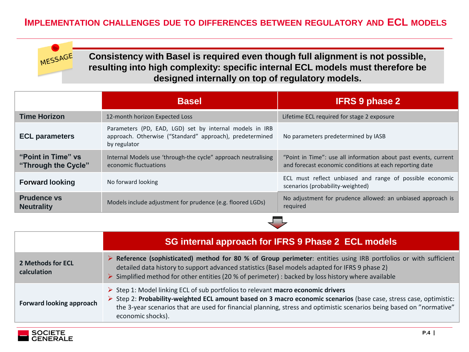#### **IMPLEMENTATION CHALLENGES DUE TO DIFFERENCES BETWEEN REGULATORY AND ECL MODELS**



**Consistency with Basel is required even though full alignment is not possible, resulting into high complexity: specific internal ECL models must therefore be designed internally on top of regulatory models.**

|                                           | <b>Basel</b>                                                                                                                        | <b>IFRS 9 phase 2</b>                                                                                                      |
|-------------------------------------------|-------------------------------------------------------------------------------------------------------------------------------------|----------------------------------------------------------------------------------------------------------------------------|
| <b>Time Horizon</b>                       | 12-month horizon Expected Loss                                                                                                      | Lifetime ECL required for stage 2 exposure                                                                                 |
| <b>ECL parameters</b>                     | Parameters (PD, EAD, LGD) set by internal models in IRB<br>approach. Otherwise ("Standard" approach), predetermined<br>by regulator | No parameters predetermined by IASB                                                                                        |
| "Point in Time" vs<br>"Through the Cycle" | Internal Models use 'through-the cycle" approach neutralising<br>economic fluctuations                                              | "Point in Time": use all information about past events, current<br>and forecast economic conditions at each reporting date |
| <b>Forward looking</b>                    | No forward looking                                                                                                                  | ECL must reflect unbiased and range of possible economic<br>scenarios (probability-weighted)                               |
| <b>Prudence vs</b><br><b>Neutrality</b>   | Models include adjustment for prudence (e.g. floored LGDs)                                                                          | No adjustment for prudence allowed: an unbiased approach is<br>required                                                    |

|                                  | SG internal approach for IFRS 9 Phase 2 ECL models                                                                                                                                                                                                                                                                                                                  |  |
|----------------------------------|---------------------------------------------------------------------------------------------------------------------------------------------------------------------------------------------------------------------------------------------------------------------------------------------------------------------------------------------------------------------|--|
| 2 Methods for ECL<br>calculation | ▶ Reference (sophisticated) method for 80 % of Group perimeter: entities using IRB portfolios or with sufficient<br>detailed data history to support advanced statistics (Basel models adapted for IFRS 9 phase 2)<br>$\triangleright$ Simplified method for other entities (20 % of perimeter) : backed by loss history where available                            |  |
| <b>Forward looking approach</b>  | $\triangleright$ Step 1: Model linking ECL of sub portfolios to relevant macro economic drivers<br>> Step 2: Probability-weighted ECL amount based on 3 macro economic scenarios (base case, stress case, optimistic:<br>the 3-year scenarios that are used for financial planning, stress and optimistic scenarios being based on "normative"<br>economic shocks). |  |

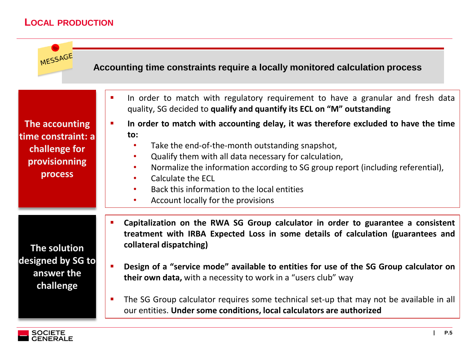#### **LOCAL PRODUCTION**



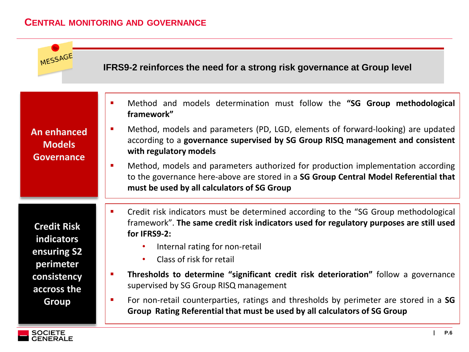#### **CENTRAL MONITORING AND GOVERNANCE**



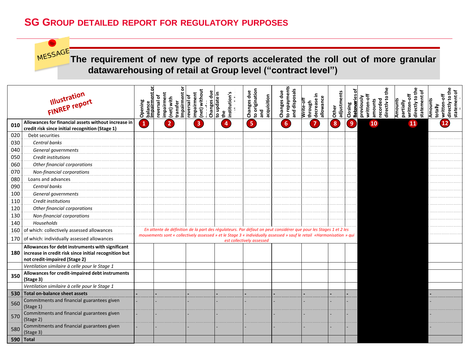#### **SG GROUP DETAILED REPORT FOR REGULATORY PURPOSES**

MESSAGE **The requirement of new type of reports accelerated the roll out of more granular datawarehousing of retail at Group level ("contract level")** Opening<br>balance<br>thanks and the particular of<br>transferences and the particular particular pairment<br>transferences and the particular particular pair and the particular pair of<br>the pair of the particular particular pair of th **directly to the directly to the directly to the**  irectly to the Illustration **statement of statement of Retanceries of** ᅙ ᅙ **profit or loss adjustments written-off written-off written-off**  written-off statement written-off statement directly to directly to **Illustration**<br>FINREP report **previously recorded Amounts partially profit or loss Amounts amounts Closing totally <sup>010</sup> Allowances for financial assets without increase in 1 2 3 4 5 6 7 8 9 10 11 12credit risk since initial recognition (Stage 1)** 020 Debt securities 030 *Central banks* 040 *General governments* 050 *Credit institutions* 060 *Other financial corporations* 070 *Non-financial corporations* 080 Loans and advances 090 *Central banks* 100 *General governments* 110 *Credit institutions* 120 *Other financial corporations* 130 *Non-financial corporations* 140 *Households* 160 of which: collectively assessed allowances *En attente de définition de la part des régulateurs. Par défaut on peut considérer que pour les Stages 1 et 2 les mouvements sont « collectively assessed » et le Stage 3 « individually assessed » sauf le retail «Harmonisation » qui*  170 **of which: individually assessed allowances Allowances for debt instruments with significant 180 increase in credit risk since initial recognition but not credit-impaired (Stage 2)** *Ventilation similaire à celle pour le Stage 1* **<sup>350</sup> Allowances for credit-impaired debt instruments (Stage 3)** *Ventilation similaire à celle pour le Stage 1* **530 Total on-balance sheet assets**  $560$  Commitments and financial guarantees given (Stage 1)  $570$  Commitments and financial guarantees given (Stage 2)  $580$  Commitments and financial guarantees given (Stage 3) **| P.7 590 Total**